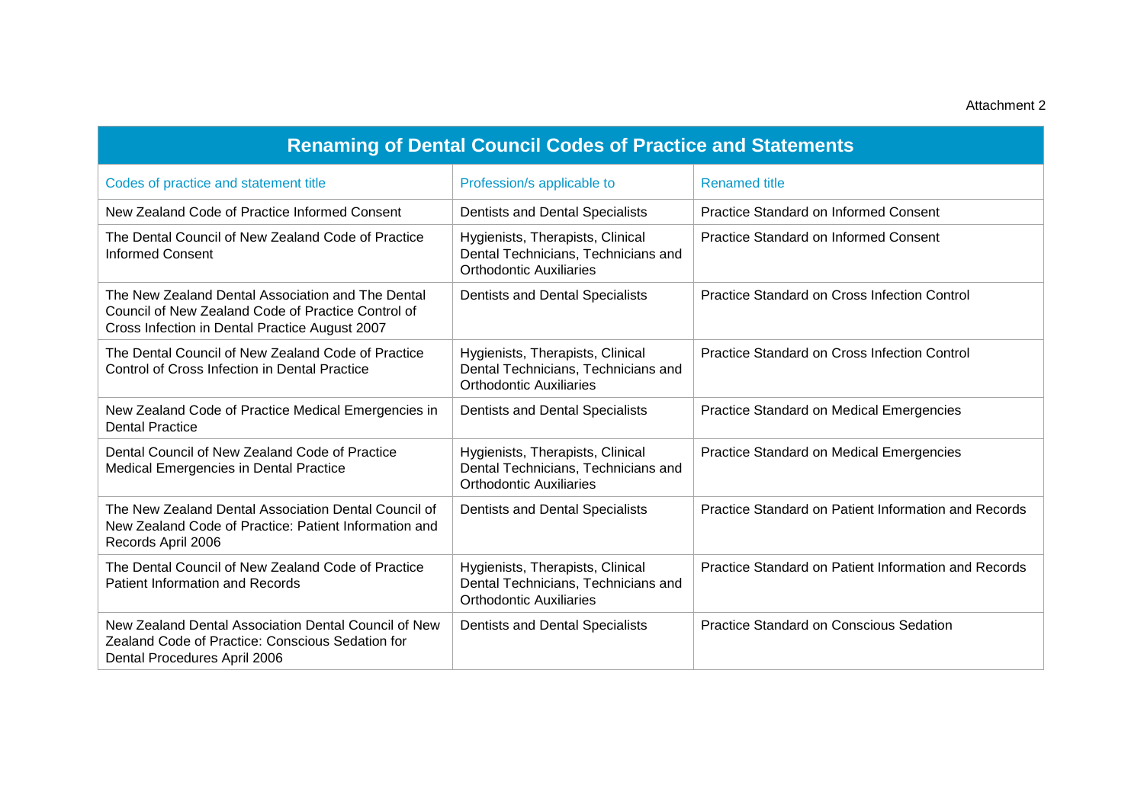| <b>Renaming of Dental Council Codes of Practice and Statements</b>                                                                                        |                                                                                                           |                                                      |  |
|-----------------------------------------------------------------------------------------------------------------------------------------------------------|-----------------------------------------------------------------------------------------------------------|------------------------------------------------------|--|
| Codes of practice and statement title                                                                                                                     | Profession/s applicable to                                                                                | <b>Renamed title</b>                                 |  |
| New Zealand Code of Practice Informed Consent                                                                                                             | Dentists and Dental Specialists                                                                           | Practice Standard on Informed Consent                |  |
| The Dental Council of New Zealand Code of Practice<br><b>Informed Consent</b>                                                                             | Hygienists, Therapists, Clinical<br>Dental Technicians, Technicians and<br><b>Orthodontic Auxiliaries</b> | <b>Practice Standard on Informed Consent</b>         |  |
| The New Zealand Dental Association and The Dental<br>Council of New Zealand Code of Practice Control of<br>Cross Infection in Dental Practice August 2007 | Dentists and Dental Specialists                                                                           | Practice Standard on Cross Infection Control         |  |
| The Dental Council of New Zealand Code of Practice<br>Control of Cross Infection in Dental Practice                                                       | Hygienists, Therapists, Clinical<br>Dental Technicians, Technicians and<br><b>Orthodontic Auxiliaries</b> | Practice Standard on Cross Infection Control         |  |
| New Zealand Code of Practice Medical Emergencies in<br><b>Dental Practice</b>                                                                             | Dentists and Dental Specialists                                                                           | Practice Standard on Medical Emergencies             |  |
| Dental Council of New Zealand Code of Practice<br>Medical Emergencies in Dental Practice                                                                  | Hygienists, Therapists, Clinical<br>Dental Technicians, Technicians and<br><b>Orthodontic Auxiliaries</b> | Practice Standard on Medical Emergencies             |  |
| The New Zealand Dental Association Dental Council of<br>New Zealand Code of Practice: Patient Information and<br>Records April 2006                       | Dentists and Dental Specialists                                                                           | Practice Standard on Patient Information and Records |  |
| The Dental Council of New Zealand Code of Practice<br><b>Patient Information and Records</b>                                                              | Hygienists, Therapists, Clinical<br>Dental Technicians, Technicians and<br><b>Orthodontic Auxiliaries</b> | Practice Standard on Patient Information and Records |  |
| New Zealand Dental Association Dental Council of New<br>Zealand Code of Practice: Conscious Sedation for<br>Dental Procedures April 2006                  | Dentists and Dental Specialists                                                                           | <b>Practice Standard on Conscious Sedation</b>       |  |